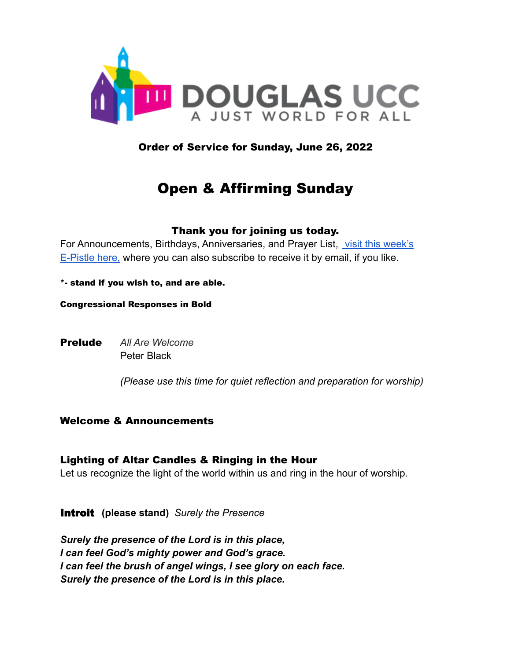

Order of Service for Sunday, June 26, 2022

# Open & Affirming Sunday

#### Thank you for joining us today.

For Announcements, Birthdays, Anniversaries, and Prayer List, [visit this week's](https://www.douglasucc.org/e-pistle) [E-Pistle here,](https://www.douglasucc.org/e-pistle) where you can also subscribe to receive it by email, if you like.

\*- stand if you wish to, and are able.

Congressional Responses in Bold

Prelude *All Are Welcome* Peter Black

*(Please use this time for quiet reflection and preparation for worship)*

# Welcome & Announcements

Lighting of Altar Candles & Ringing in the Hour

Let us recognize the light of the world within us and ring in the hour of worship.

Introit **(please stand)** *Surely the Presence*

*Surely the presence of the Lord is in this place, I can feel God's mighty power and God's grace. I can feel the brush of angel wings, I see glory on each face. Surely the presence of the Lord is in this place.*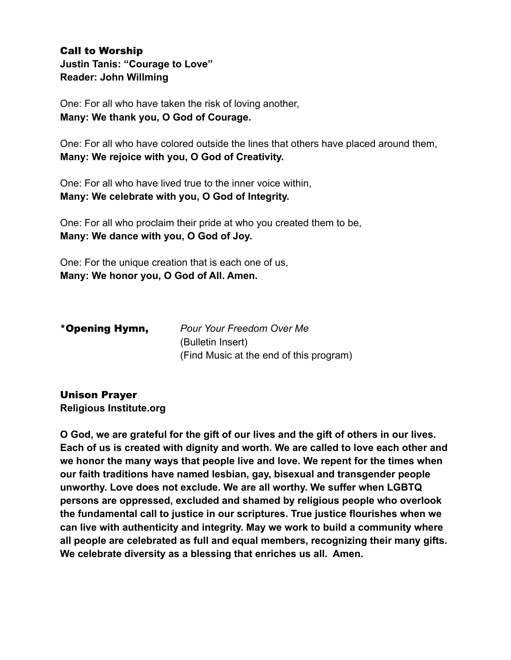# Call to Worship **Justin Tanis: "Courage to Love" Reader: John Willming**

One: For all who have taken the risk of loving another, **Many: We thank you, O God of Courage.**

One: For all who have colored outside the lines that others have placed around them, **Many: We rejoice with you, O God of Creativity.**

One: For all who have lived true to the inner voice within, **Many: We celebrate with you, O God of Integrity.**

One: For all who proclaim their pride at who you created them to be, **Many: We dance with you, O God of Joy.**

One: For the unique creation that is each one of us, **Many: We honor you, O God of All. Amen.**

| *Opening Hymn, | <b>Pour Your Freedom Over Me</b>        |
|----------------|-----------------------------------------|
|                | (Bulletin Insert)                       |
|                | (Find Music at the end of this program) |

# Unison Prayer

**Religious Institute.org**

**O God, we are grateful for the gift of our lives and the gift of others in our lives. Each of us is created with dignity and worth. We are called to love each other and we honor the many ways that people live and love. We repent for the times when our faith traditions have named lesbian, gay, bisexual and transgender people unworthy. Love does not exclude. We are all worthy. We suffer when LGBTQ persons are oppressed, excluded and shamed by religious people who overlook the fundamental call to justice in our scriptures. True justice flourishes when we can live with authenticity and integrity. May we work to build a community where all people are celebrated as full and equal members, recognizing their many gifts. We celebrate diversity as a blessing that enriches us all. Amen.**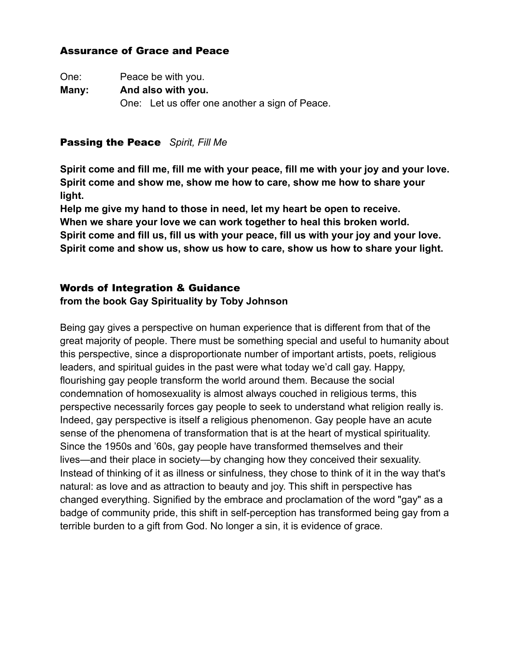# Assurance of Grace and Peace

| One:  | Peace be with you.                             |  |
|-------|------------------------------------------------|--|
| Many: | And also with you.                             |  |
|       | One: Let us offer one another a sign of Peace. |  |

## Passing the Peace *Spirit, Fill Me*

**Spirit come and fill me, fill me with your peace, fill me with your joy and your love. Spirit come and show me, show me how to care, show me how to share your light.**

**Help me give my hand to those in need, let my heart be open to receive. When we share your love we can work together to heal this broken world. Spirit come and fill us, fill us with your peace, fill us with your joy and your love. Spirit come and show us, show us how to care, show us how to share your light.**

# Words of Integration & Guidance

### **from the book Gay Spirituality by Toby Johnson**

Being gay gives a perspective on human experience that is different from that of the great majority of people. There must be something special and useful to humanity about this perspective, since a disproportionate number of important artists, poets, religious leaders, and spiritual guides in the past were what today we'd call gay. Happy, flourishing gay people transform the world around them. Because the social condemnation of homosexuality is almost always couched in religious terms, this perspective necessarily forces gay people to seek to understand what religion really is. Indeed, gay perspective is itself a religious phenomenon. Gay people have an acute sense of the phenomena of transformation that is at the heart of mystical spirituality. Since the 1950s and '60s, gay people have transformed themselves and their lives—and their place in society—by changing how they conceived their sexuality. Instead of thinking of it as illness or sinfulness, they chose to think of it in the way that's natural: as love and as attraction to beauty and joy. This shift in perspective has changed everything. Signified by the embrace and proclamation of the word "gay" as a badge of community pride, this shift in self-perception has transformed being gay from a terrible burden to a gift from God. No longer a sin, it is evidence of grace.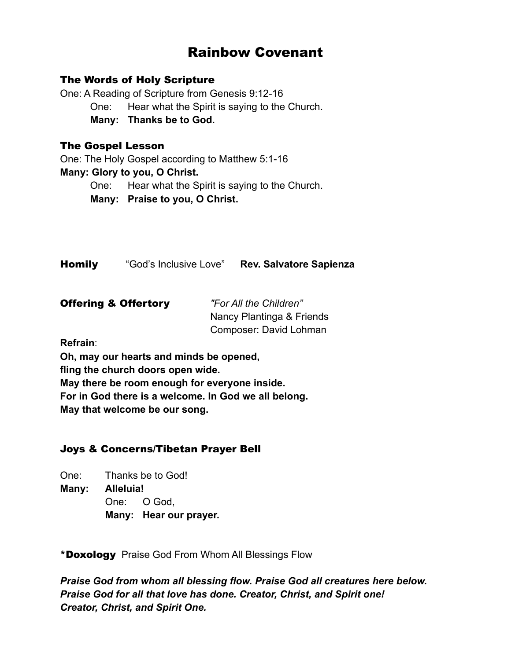# Rainbow Covenant

#### The Words of Holy Scripture

One: A Reading of Scripture from Genesis 9:12-16 One: Hear what the Spirit is saying to the Church. **Many: Thanks be to God.**

#### The Gospel Lesson

One: The Holy Gospel according to Matthew 5:1-16 **Many: Glory to you, O Christ.** One: Hear what the Spirit is saying to the Church. **Many: Praise to you, O Christ.**

Homily "God's Inclusive Love" **Rev. Salvatore Sapienza**

| <b>Offering &amp; Offertory</b> | "For All the Children"    |
|---------------------------------|---------------------------|
|                                 | Nancy Plantinga & Friends |
|                                 | Composer: David Lohman    |

**Refrain**:

**Oh, may our hearts and minds be opened, fling the church doors open wide. May there be room enough for everyone inside. For in God there is a welcome. In God we all belong. May that welcome be our song.**

# Joys & Concerns/Tibetan Prayer Bell

One: Thanks be to God! **Many: Alleluia!** One: O God, **Many: Hear our prayer.**

\*Doxology Praise God From Whom All Blessings Flow

*Praise God from whom all blessing flow. Praise God all creatures here below. Praise God for all that love has done. Creator, Christ, and Spirit one! Creator, Christ, and Spirit One.*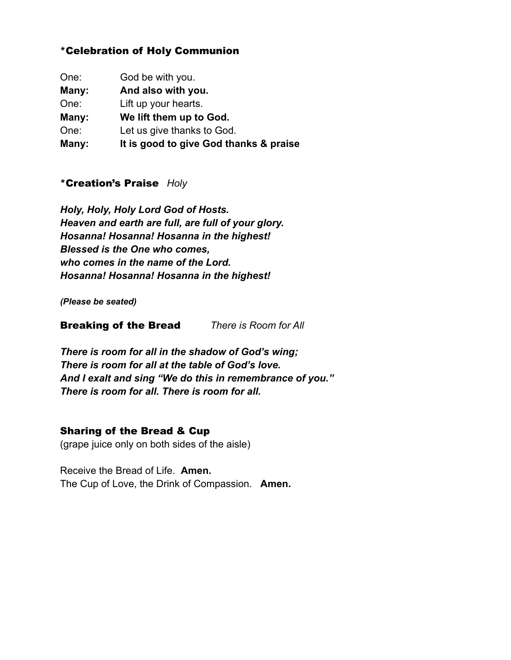# \*Celebration of Holy Communion

| One:  | God be with you.                       |
|-------|----------------------------------------|
| Many: | And also with you.                     |
| One:  | Lift up your hearts.                   |
| Many: | We lift them up to God.                |
| One:  | Let us give thanks to God.             |
| Many: | It is good to give God thanks & praise |

# \*Creation's Praise *Holy*

*Holy, Holy, Holy Lord God of Hosts. Heaven and earth are full, are full of your glory. Hosanna! Hosanna! Hosanna in the highest! Blessed is the One who comes, who comes in the name of the Lord. Hosanna! Hosanna! Hosanna in the highest!*

*(Please be seated)*

### Breaking of the Bread *There is Room for All*

*There is room for all in the shadow of God's wing; There is room for all at the table of God's love. And I exalt and sing "We do this in remembrance of you." There is room for all. There is room for all.*

# Sharing of the Bread & Cup

(grape juice only on both sides of the aisle)

Receive the Bread of Life. **Amen.** The Cup of Love, the Drink of Compassion. **Amen.**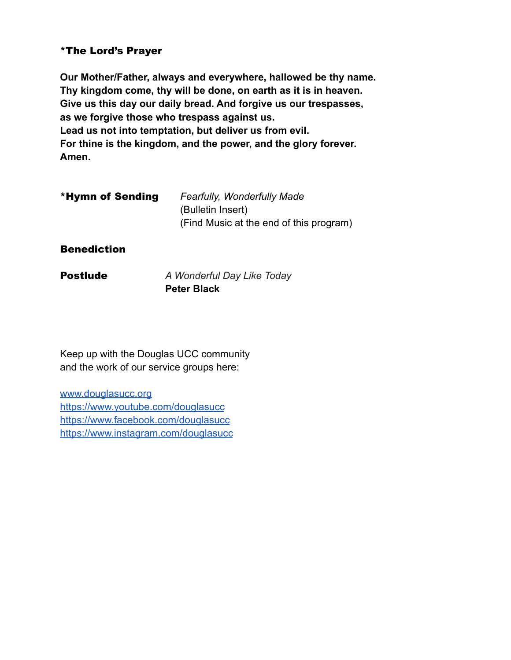# \*The Lord's Prayer

**Our Mother/Father, always and everywhere, hallowed be thy name. Thy kingdom come, thy will be done, on earth as it is in heaven. Give us this day our daily bread. And forgive us our trespasses, as we forgive those who trespass against us. Lead us not into temptation, but deliver us from evil. For thine is the kingdom, and the power, and the glory forever. Amen.**

| *Hymn of Sending | <b>Fearfully, Wonderfully Made</b>      |
|------------------|-----------------------------------------|
|                  | (Bulletin Insert)                       |
|                  | (Find Music at the end of this program) |

**Benediction** 

Postlude *A Wonderful Day Like Today* **Peter Black**

Keep up with the Douglas UCC community and the work of our service groups here:

[www.douglasucc.org](http://www.douglasucc.org) <https://www.youtube.com/douglasucc> <https://www.facebook.com/douglasucc> <https://www.instagram.com/douglasucc>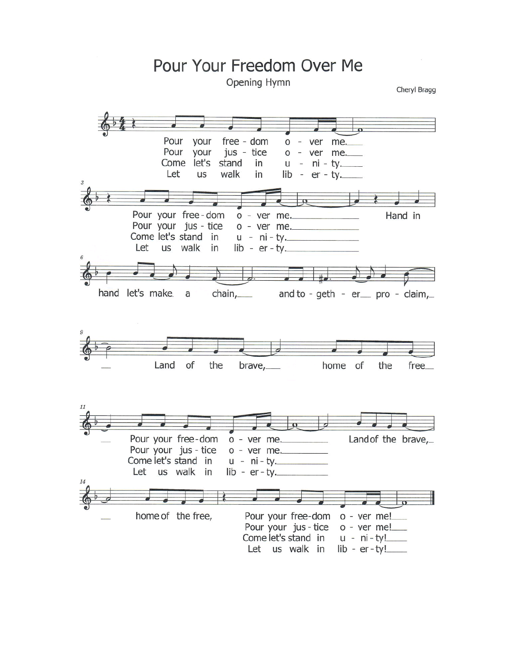